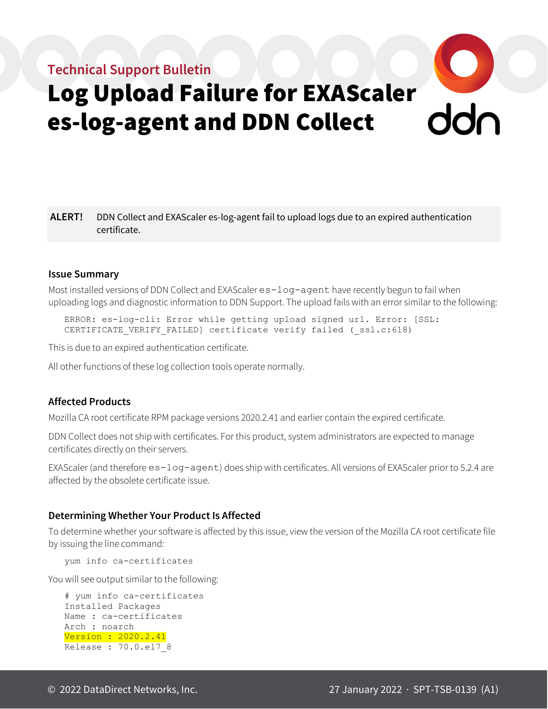# **Technical Support Bulletin**



**ALERT!** DDN Collect and EXAScaler es-log-agent fail to upload logs due to an expired authentication certificate.

#### **Issue Summary**

Most installed versions of DDN Collect and EXAScaler es-log-agent have recently begun to fail when uploading logs and diagnostic information to DDN Support. The upload fails with an error similar to the following:

ERROR: es-log-cli: Error while getting upload signed url. Error: [SSL: CERTIFICATE VERIFY FAILED] certificate verify failed ( ssl.c:618)

This is due to an expired authentication certificate.

All other functions of these log collection tools operate normally.

#### **Affected Products**

Mozilla CA root certificate RPM package versions 2020.2.41 and earlier contain the expired certificate.

DDN Collect does not ship with certificates. For this product, system administrators are expected to manage certificates directly on their servers.

EXAScaler (and therefore es-log-agent) does ship with certificates. All versions of EXAScaler prior to 5.2.4 are affected by the obsolete certificate issue.

#### **Determining Whether Your Product Is Affected**

To determine whether your software is affected by this issue, view the version of the Mozilla CA root certificate file by issuing the line command:

yum info ca-certificates

You will see output similar to the following:

```
# yum info ca-certificates
Installed Packages
Name : ca-certificates
Arch : noarch
Version : 2020.2.41
Release : 70.0.el7_8
```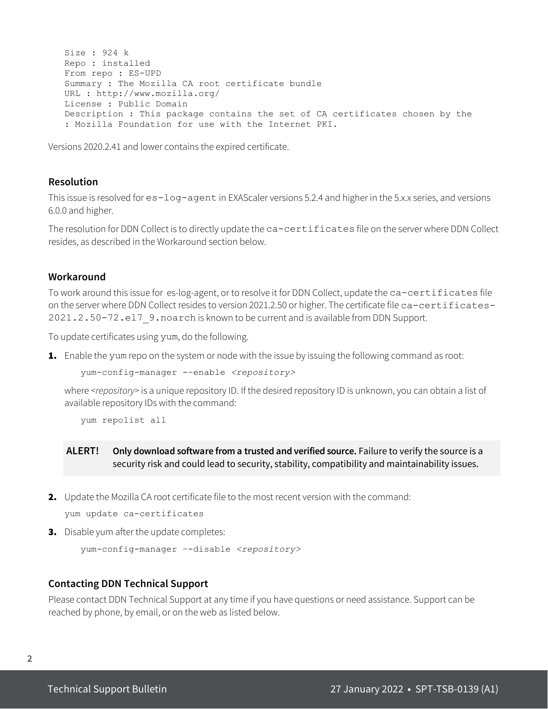```
Size : 924 k
Repo : installed
From repo : ES-UPD
Summary : The Mozilla CA root certificate bundle
URL : http://www.mozilla.org/
License : Public Domain
Description : This package contains the set of CA certificates chosen by the
: Mozilla Foundation for use with the Internet PKI.
```
Versions 2020.2.41 and lower contains the expired certificate.

# **Resolution**

This issue is resolved for es-log-agent in EXAScaler versions 5.2.4 and higher in the 5.x.x series, and versions 6.0.0 and higher.

The resolution for DDN Collect is to directly update the ca-certificates file on the server where DDN Collect resides, as described in the Workaround section below.

#### **Workaround**

To work around this issue for es-log-agent, or to resolve it for DDN Collect, update the ca-certificates file on the server where DDN Collect resides to version 2021.2.50 or higher. The certificate file ca-certificates-2021.2.50-72.el7\_9.noarch is known to be current and is available from DDN Support.

To update certificates using yum, do the following.

**1.** Enable the yum repo on the system or node with the issue by issuing the following command as root:

yum-config-manager -–enable *<repository>*

where *<repository>* is a unique repository ID. If the desired repository ID is unknown, you can obtain a list of available repository IDs with the command:

yum repolist all

**ALERT! Only download software from a trusted and verified source.** Failure to verify the source is a security risk and could lead to security, stability, compatibility and maintainability issues.

2. Update the Mozilla CA root certificate file to the most recent version with the command:

```
yum update ca-certificates
```
3. Disable yum after the update completes:

```
yum-config-manager –-disable <repository>
```
#### **Contacting DDN Technical Support**

Please contact DDN Technical Support at any time if you have questions or need assistance. Support can be reached by phone, by email, or on the web as listed below.